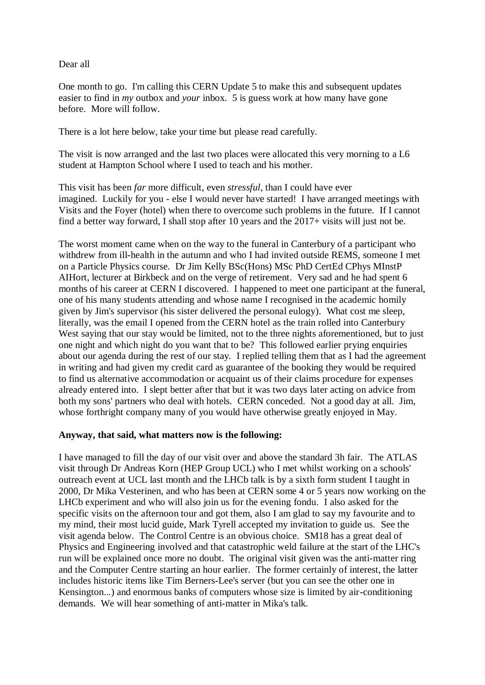## Dear all

One month to go. I'm calling this CERN Update 5 to make this and subsequent updates easier to find in *my* outbox and *your* inbox. 5 is guess work at how many have gone before. More will follow.

There is a lot here below, take your time but please read carefully.

The visit is now arranged and the last two places were allocated this very morning to a L6 student at Hampton School where I used to teach and his mother.

This visit has been *far* more difficult, even *stressful*, than I could have ever imagined. Luckily for you - else I would never have started! I have arranged meetings with Visits and the Foyer (hotel) when there to overcome such problems in the future. If I cannot find a better way forward, I shall stop after 10 years and the 2017+ visits will just not be.

The worst moment came when on the way to the funeral in Canterbury of a participant who withdrew from ill-health in the autumn and who I had invited outside REMS, someone I met on a Particle Physics course. Dr Jim Kelly BSc(Hons) MSc PhD CertEd CPhys MInstP AIHort, lecturer at Birkbeck and on the verge of retirement. Very sad and he had spent 6 months of his career at CERN I discovered. I happened to meet one participant at the funeral, one of his many students attending and whose name I recognised in the academic homily given by Jim's supervisor (his sister delivered the personal eulogy). What cost me sleep, literally, was the email I opened from the CERN hotel as the train rolled into Canterbury West saying that our stay would be limited, not to the three nights aforementioned, but to just one night and which night do you want that to be? This followed earlier prying enquiries about our agenda during the rest of our stay. I replied telling them that as I had the agreement in writing and had given my credit card as guarantee of the booking they would be required to find us alternative accommodation or acquaint us of their claims procedure for expenses already entered into. I slept better after that but it was two days later acting on advice from both my sons' partners who deal with hotels. CERN conceded. Not a good day at all. Jim, whose forthright company many of you would have otherwise greatly enjoyed in May.

## **Anyway, that said, what matters now is the following:**

I have managed to fill the day of our visit over and above the standard 3h fair. The ATLAS visit through Dr Andreas Korn (HEP Group UCL) who I met whilst working on a schools' outreach event at UCL last month and the LHCb talk is by a sixth form student I taught in 2000, Dr Mika Vesterinen, and who has been at CERN some 4 or 5 years now working on the LHCb experiment and who will also join us for the evening fondu. I also asked for the specific visits on the afternoon tour and got them, also I am glad to say my favourite and to my mind, their most lucid guide, Mark Tyrell accepted my invitation to guide us. See the visit agenda below. The Control Centre is an obvious choice. SM18 has a great deal of Physics and Engineering involved and that catastrophic weld failure at the start of the LHC's run will be explained once more no doubt. The original visit given was the anti-matter ring and the Computer Centre starting an hour earlier. The former certainly of interest, the latter includes historic items like Tim Berners-Lee's server (but you can see the other one in Kensington...) and enormous banks of computers whose size is limited by air-conditioning demands. We will hear something of anti-matter in Mika's talk.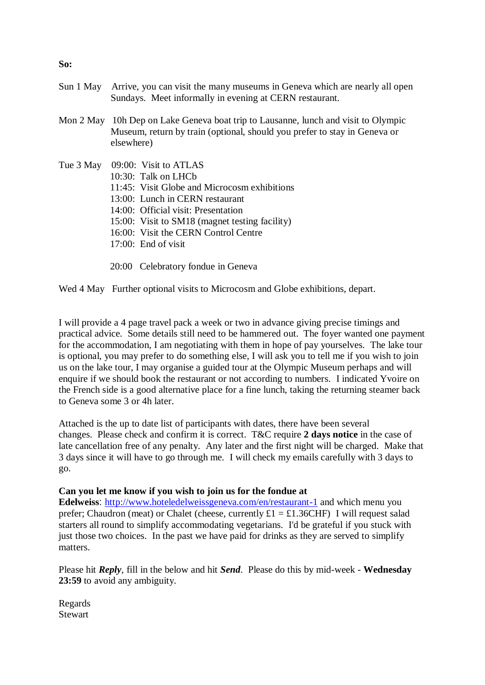- Sun 1 May Arrive, you can visit the many museums in Geneva which are nearly all open Sundays. Meet informally in evening at CERN restaurant.
- Mon 2 May 10h Dep on Lake Geneva boat trip to Lausanne, lunch and visit to Olympic Museum, return by train (optional, should you prefer to stay in Geneva or elsewhere)
- Tue 3 May 09:00: Visit to ATLAS 10:30: Talk on LHCb 11:45: Visit Globe and Microcosm exhibitions 13:00: Lunch in CERN restaurant 14:00: Official visit: Presentation 15:00: Visit to SM18 (magnet testing facility) 16:00: Visit the CERN Control Centre 17:00: End of visit
	- 20:00 Celebratory fondue in Geneva

Wed 4 May Further optional visits to Microcosm and Globe exhibitions, depart.

I will provide a 4 page travel pack a week or two in advance giving precise timings and practical advice. Some details still need to be hammered out. The foyer wanted one payment for the accommodation, I am negotiating with them in hope of pay yourselves. The lake tour is optional, you may prefer to do something else, I will ask you to tell me if you wish to join us on the lake tour, I may organise a guided tour at the Olympic Museum perhaps and will enquire if we should book the restaurant or not according to numbers. I indicated Yvoire on the French side is a good alternative place for a fine lunch, taking the returning steamer back to Geneva some 3 or 4h later.

Attached is the up to date list of participants with dates, there have been several changes. Please check and confirm it is correct. T&C require **2 days notice** in the case of late cancellation free of any penalty. Any later and the first night will be charged. Make that 3 days since it will have to go through me. I will check my emails carefully with 3 days to go.

## **Can you let me know if you wish to join us for the fondue at**

**Edelweiss**: <http://www.hoteledelweissgeneva.com/en/restaurant-1> and which menu you prefer; Chaudron (meat) or Chalet (cheese, currently  $\pounds1 = \pounds1.36$ CHF) I will request salad starters all round to simplify accommodating vegetarians. I'd be grateful if you stuck with just those two choices. In the past we have paid for drinks as they are served to simplify matters.

Please hit *Reply*, fill in the below and hit *Send*. Please do this by mid-week - **Wednesday 23:59** to avoid any ambiguity.

Regards **Stewart** 

## **So:**